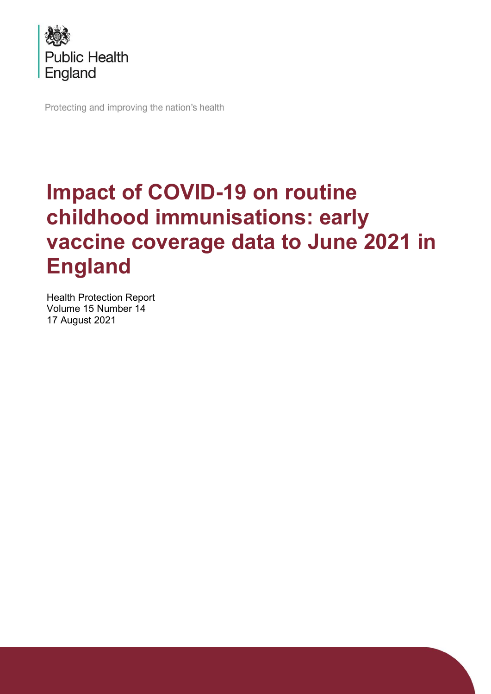

Protecting and improving the nation's health

# **Impact of COVID-19 on routine childhood immunisations: early vaccine coverage data to June 2021 in England**

Health Protection Report Volume 15 Number 14 17 August 2021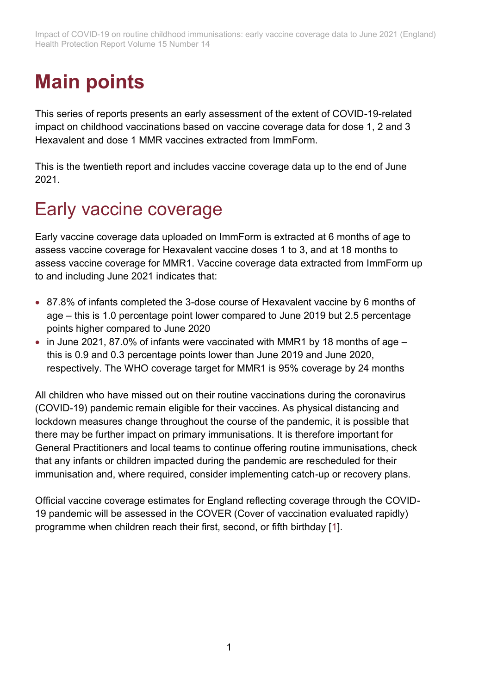## **Main points**

This series of reports presents an early assessment of the extent of COVID-19-related impact on childhood vaccinations based on vaccine coverage data for dose 1, 2 and 3 Hexavalent and dose 1 MMR vaccines extracted from ImmForm.

This is the twentieth report and includes vaccine coverage data up to the end of June 2021.

### Early vaccine coverage

Early vaccine coverage data uploaded on ImmForm is extracted at 6 months of age to assess vaccine coverage for Hexavalent vaccine doses 1 to 3, and at 18 months to assess vaccine coverage for MMR1. Vaccine coverage data extracted from ImmForm up to and including June 2021 indicates that:

- 87.8% of infants completed the 3-dose course of Hexavalent vaccine by 6 months of age – this is 1.0 percentage point lower compared to June 2019 but 2.5 percentage points higher compared to June 2020
- in June 2021, 87.0% of infants were vaccinated with MMR1 by 18 months of age this is 0.9 and 0.3 percentage points lower than June 2019 and June 2020, respectively. The WHO coverage target for MMR1 is 95% coverage by 24 months

All children who have missed out on their routine vaccinations during the coronavirus (COVID-19) pandemic remain eligible for their vaccines. As physical distancing and lockdown measures change throughout the course of the pandemic, it is possible that there may be further impact on primary immunisations. It is therefore important for General Practitioners and local teams to continue offering routine immunisations, check that any infants or children impacted during the pandemic are rescheduled for their immunisation and, where required, consider implementing catch-up or recovery plans.

Official vaccine coverage estimates for England reflecting coverage through the COVID-19 pandemic will be assessed in the COVER (Cover of vaccination evaluated rapidly) programme when children reach their first, second, or fifth birthday [\[1\]](#page-13-0).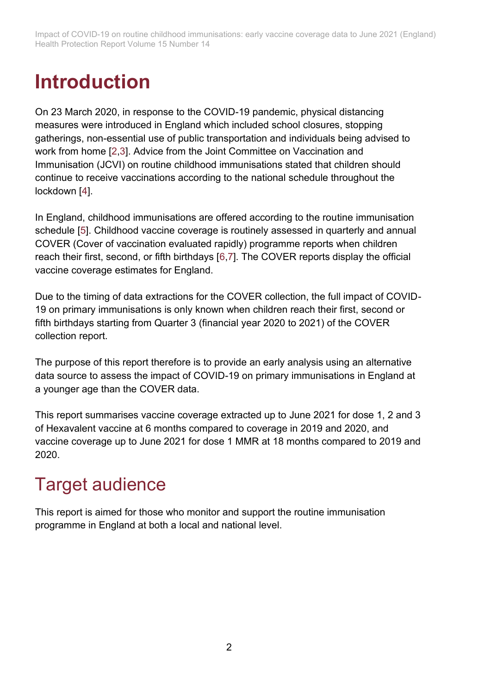## **Introduction**

On 23 March 2020, in response to the COVID-19 pandemic, physical distancing measures were introduced in England which included school closures, stopping gatherings, non-essential use of public transportation and individuals being advised to work from home [\[2](#page-13-1)[,3\]](#page-13-2). Advice from the Joint Committee on Vaccination and Immunisation (JCVI) on routine childhood immunisations stated that children should continue to receive vaccinations according to the national schedule throughout the lockdown [\[4\]](#page-13-3).

In England, childhood immunisations are offered according to the routine immunisation schedule [\[5\]](#page-13-4). Childhood vaccine coverage is routinely assessed in quarterly and annual COVER (Cover of vaccination evaluated rapidly) programme reports when children reach their first, second, or fifth birthdays [\[6](#page-13-5)[,7\]](#page-13-6). The COVER reports display the official vaccine coverage estimates for England.

Due to the timing of data extractions for the COVER collection, the full impact of COVID-19 on primary immunisations is only known when children reach their first, second or fifth birthdays starting from Quarter 3 (financial year 2020 to 2021) of the COVER collection report.

The purpose of this report therefore is to provide an early analysis using an alternative data source to assess the impact of COVID-19 on primary immunisations in England at a younger age than the COVER data.

This report summarises vaccine coverage extracted up to June 2021 for dose 1, 2 and 3 of Hexavalent vaccine at 6 months compared to coverage in 2019 and 2020, and vaccine coverage up to June 2021 for dose 1 MMR at 18 months compared to 2019 and 2020.

### Target audience

This report is aimed for those who monitor and support the routine immunisation programme in England at both a local and national level.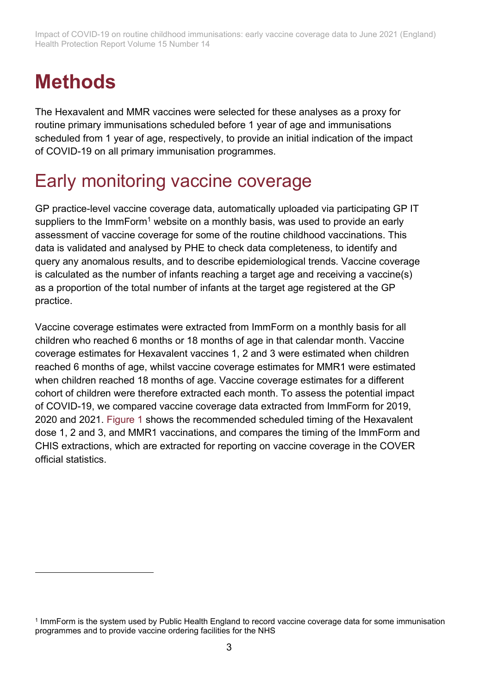### **Methods**

The Hexavalent and MMR vaccines were selected for these analyses as a proxy for routine primary immunisations scheduled before 1 year of age and immunisations scheduled from 1 year of age, respectively, to provide an initial indication of the impact of COVID-19 on all primary immunisation programmes.

### Early monitoring vaccine coverage

GP practice-level vaccine coverage data, automatically uploaded via participating GP IT suppliers to the ImmForm<sup>1</sup> website on a monthly basis, was used to provide an early assessment of vaccine coverage for some of the routine childhood vaccinations. This data is validated and analysed by PHE to check data completeness, to identify and query any anomalous results, and to describe epidemiological trends. Vaccine coverage is calculated as the number of infants reaching a target age and receiving a vaccine(s) as a proportion of the total number of infants at the target age registered at the GP practice.

Vaccine coverage estimates were extracted from ImmForm on a monthly basis for all children who reached 6 months or 18 months of age in that calendar month. Vaccine coverage estimates for Hexavalent vaccines 1, 2 and 3 were estimated when children reached 6 months of age, whilst vaccine coverage estimates for MMR1 were estimated when children reached 18 months of age. Vaccine coverage estimates for a different cohort of children were therefore extracted each month. To assess the potential impact of COVID-19, we compared vaccine coverage data extracted from ImmForm for 2019, 2020 and 2021. [Figure 1](#page-4-0) shows the recommended scheduled timing of the Hexavalent dose 1, 2 and 3, and MMR1 vaccinations, and compares the timing of the ImmForm and CHIS extractions, which are extracted for reporting on vaccine coverage in the COVER official statistics.

<sup>1</sup> ImmForm is the system used by Public Health England to record vaccine coverage data for some immunisation programmes and to provide vaccine ordering facilities for the NHS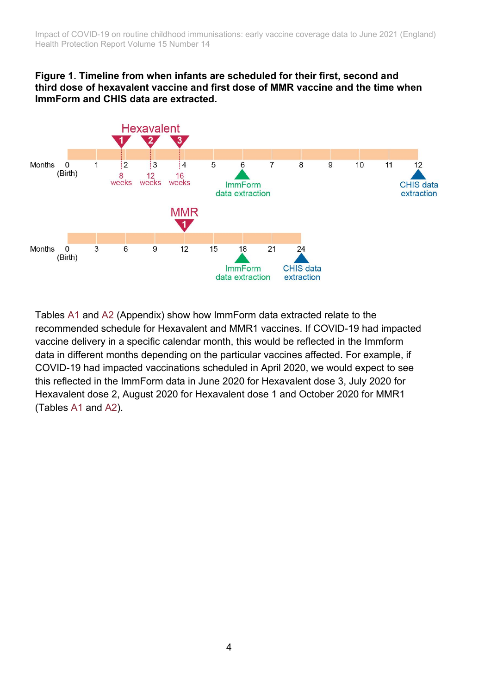#### <span id="page-4-0"></span>**Figure 1. Timeline from when infants are scheduled for their first, second and third dose of hexavalent vaccine and first dose of MMR vaccine and the time when ImmForm and CHIS data are extracted.**



Tables [A1](#page-14-0) and [A2](#page-15-0) (Appendix) show how ImmForm data extracted relate to the recommended schedule for Hexavalent and MMR1 vaccines. If COVID-19 had impacted vaccine delivery in a specific calendar month, this would be reflected in the Immform data in different months depending on the particular vaccines affected. For example, if COVID-19 had impacted vaccinations scheduled in April 2020, we would expect to see this reflected in the ImmForm data in June 2020 for Hexavalent dose 3, July 2020 for Hexavalent dose 2, August 2020 for Hexavalent dose 1 and October 2020 for MMR1 (Tables [A1](#page-14-0) and [A2\)](#page-15-0).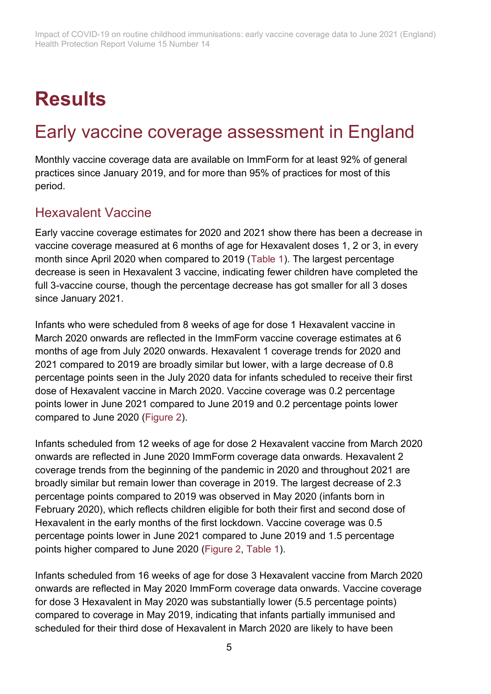# **Results**

### Early vaccine coverage assessment in England

Monthly vaccine coverage data are available on ImmForm for at least 92% of general practices since January 2019, and for more than 95% of practices for most of this period.

### Hexavalent Vaccine

Early vaccine coverage estimates for 2020 and 2021 show there has been a decrease in vaccine coverage measured at 6 months of age for Hexavalent doses 1, 2 or 3, in every month since April 2020 when compared to 2019 [\(Table 1\)](#page-7-0). The largest percentage decrease is seen in Hexavalent 3 vaccine, indicating fewer children have completed the full 3-vaccine course, though the percentage decrease has got smaller for all 3 doses since January 2021.

Infants who were scheduled from 8 weeks of age for dose 1 Hexavalent vaccine in March 2020 onwards are reflected in the ImmForm vaccine coverage estimates at 6 months of age from July 2020 onwards. Hexavalent 1 coverage trends for 2020 and 2021 compared to 2019 are broadly similar but lower, with a large decrease of 0.8 percentage points seen in the July 2020 data for infants scheduled to receive their first dose of Hexavalent vaccine in March 2020. Vaccine coverage was 0.2 percentage points lower in June 2021 compared to June 2019 and 0.2 percentage points lower compared to June 2020 [\(Figure 2\)](#page-6-0).

Infants scheduled from 12 weeks of age for dose 2 Hexavalent vaccine from March 2020 onwards are reflected in June 2020 ImmForm coverage data onwards. Hexavalent 2 coverage trends from the beginning of the pandemic in 2020 and throughout 2021 are broadly similar but remain lower than coverage in 2019. The largest decrease of 2.3 percentage points compared to 2019 was observed in May 2020 (infants born in February 2020), which reflects children eligible for both their first and second dose of Hexavalent in the early months of the first lockdown. Vaccine coverage was 0.5 percentage points lower in June 2021 compared to June 2019 and 1.5 percentage points higher compared to June 2020 [\(Figure 2,](#page-6-0) [Table 1\)](#page-7-0).

Infants scheduled from 16 weeks of age for dose 3 Hexavalent vaccine from March 2020 onwards are reflected in May 2020 ImmForm coverage data onwards. Vaccine coverage for dose 3 Hexavalent in May 2020 was substantially lower (5.5 percentage points) compared to coverage in May 2019, indicating that infants partially immunised and scheduled for their third dose of Hexavalent in March 2020 are likely to have been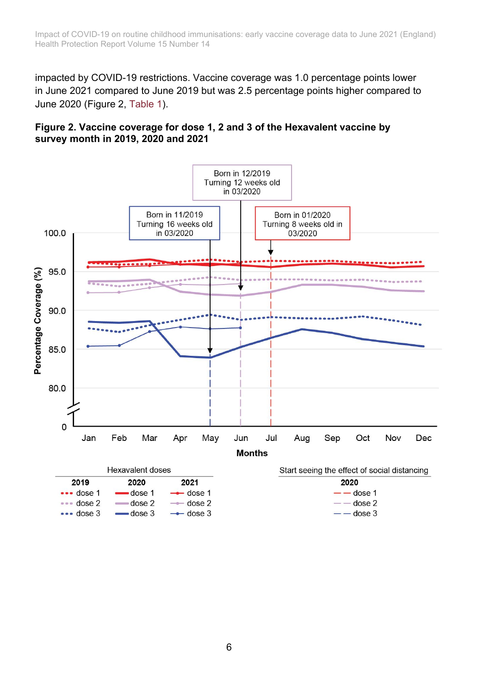impacted by COVID-19 restrictions. Vaccine coverage was 1.0 percentage points lower in June 2021 compared to June 2019 but was 2.5 percentage points higher compared to June 2020 (Figure 2, [Table 1\)](#page-7-0).

#### <span id="page-6-0"></span>**Figure 2. Vaccine coverage for dose 1, 2 and 3 of the Hexavalent vaccine by survey month in 2019, 2020 and 2021**

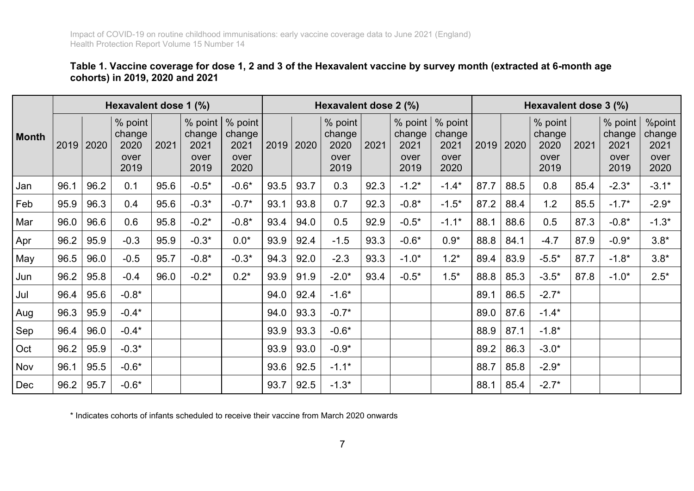#### **Table 1. Vaccine coverage for dose 1, 2 and 3 of the Hexavalent vaccine by survey month (extracted at 6-month age cohorts) in 2019, 2020 and 2021**

|              | Hexavalent dose 1 (%) |      |                                           |      |                                           | Hexavalent dose 2 (%)                     |      |      |                                           | Hexavalent dose 3 (%) |                                             |                                           |      |      |                                           |      |                                           |                                          |
|--------------|-----------------------|------|-------------------------------------------|------|-------------------------------------------|-------------------------------------------|------|------|-------------------------------------------|-----------------------|---------------------------------------------|-------------------------------------------|------|------|-------------------------------------------|------|-------------------------------------------|------------------------------------------|
| <b>Month</b> | 2019                  | 2020 | % point<br>change<br>2020<br>over<br>2019 | 2021 | % point<br>change<br>2021<br>over<br>2019 | % point<br>change<br>2021<br>over<br>2020 | 2019 | 2020 | % point<br>change<br>2020<br>over<br>2019 | 2021                  | $%$ point<br>change<br>2021<br>over<br>2019 | % point<br>change<br>2021<br>over<br>2020 | 2019 | 2020 | % point<br>change<br>2020<br>over<br>2019 | 2021 | % point<br>change<br>2021<br>over<br>2019 | %point<br>change<br>2021<br>over<br>2020 |
| Jan          | 96.1                  | 96.2 | 0.1                                       | 95.6 | $-0.5*$                                   | $-0.6*$                                   | 93.5 | 93.7 | 0.3                                       | 92.3                  | $-1.2*$                                     | $-1.4*$                                   | 87.7 | 88.5 | 0.8                                       | 85.4 | $-2.3*$                                   | $-3.1*$                                  |
| Feb          | 95.9                  | 96.3 | 0.4                                       | 95.6 | $-0.3*$                                   | $-0.7*$                                   | 93.1 | 93.8 | 0.7                                       | 92.3                  | $-0.8*$                                     | $-1.5*$                                   | 87.2 | 88.4 | 1.2                                       | 85.5 | $-1.7*$                                   | $-2.9*$                                  |
| Mar          | 96.0                  | 96.6 | 0.6                                       | 95.8 | $-0.2*$                                   | $-0.8*$                                   | 93.4 | 94.0 | 0.5                                       | 92.9                  | $-0.5*$                                     | $-1.1*$                                   | 88.1 | 88.6 | 0.5                                       | 87.3 | $-0.8*$                                   | $-1.3*$                                  |
| Apr          | 96.2                  | 95.9 | $-0.3$                                    | 95.9 | $-0.3*$                                   | $0.0*$                                    | 93.9 | 92.4 | $-1.5$                                    | 93.3                  | $-0.6*$                                     | $0.9*$                                    | 88.8 | 84.1 | $-4.7$                                    | 87.9 | $-0.9*$                                   | $3.8*$                                   |
| May          | 96.5                  | 96.0 | $-0.5$                                    | 95.7 | $-0.8*$                                   | $-0.3*$                                   | 94.3 | 92.0 | $-2.3$                                    | 93.3                  | $-1.0*$                                     | $1.2*$                                    | 89.4 | 83.9 | $-5.5*$                                   | 87.7 | $-1.8*$                                   | $3.8*$                                   |
| Jun          | 96.2                  | 95.8 | $-0.4$                                    | 96.0 | $-0.2*$                                   | $0.2*$                                    | 93.9 | 91.9 | $-2.0*$                                   | 93.4                  | $-0.5*$                                     | $1.5*$                                    | 88.8 | 85.3 | $-3.5*$                                   | 87.8 | $-1.0*$                                   | $2.5*$                                   |
| Jul          | 96.4                  | 95.6 | $-0.8*$                                   |      |                                           |                                           | 94.0 | 92.4 | $-1.6*$                                   |                       |                                             |                                           | 89.1 | 86.5 | $-2.7*$                                   |      |                                           |                                          |
| Aug          | 96.3                  | 95.9 | $-0.4*$                                   |      |                                           |                                           | 94.0 | 93.3 | $-0.7*$                                   |                       |                                             |                                           | 89.0 | 87.6 | $-1.4*$                                   |      |                                           |                                          |
| Sep          | 96.4                  | 96.0 | $-0.4*$                                   |      |                                           |                                           | 93.9 | 93.3 | $-0.6*$                                   |                       |                                             |                                           | 88.9 | 87.1 | $-1.8*$                                   |      |                                           |                                          |
| Oct          | 96.2                  | 95.9 | $-0.3*$                                   |      |                                           |                                           | 93.9 | 93.0 | $-0.9*$                                   |                       |                                             |                                           | 89.2 | 86.3 | $-3.0*$                                   |      |                                           |                                          |
| Nov          | 96.1                  | 95.5 | $-0.6*$                                   |      |                                           |                                           | 93.6 | 92.5 | $-1.1*$                                   |                       |                                             |                                           | 88.7 | 85.8 | $-2.9*$                                   |      |                                           |                                          |
| Dec          | 96.2                  | 95.7 | $-0.6*$                                   |      |                                           |                                           | 93.7 | 92.5 | $-1.3*$                                   |                       |                                             |                                           | 88.1 | 85.4 | $-2.7*$                                   |      |                                           |                                          |

<span id="page-7-0"></span>\* Indicates cohorts of infants scheduled to receive their vaccine from March 2020 onwards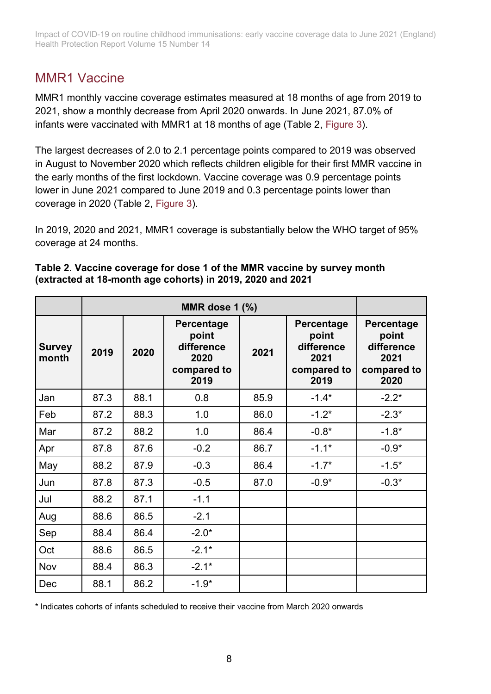### MMR1 Vaccine

MMR1 monthly vaccine coverage estimates measured at 18 months of age from 2019 to 2021, show a monthly decrease from April 2020 onwards. In June 2021, 87.0% of infants were vaccinated with MMR1 at 18 months of age (Table 2, [Figure 3\)](#page-9-0).

The largest decreases of 2.0 to 2.1 percentage points compared to 2019 was observed in August to November 2020 which reflects children eligible for their first MMR vaccine in the early months of the first lockdown. Vaccine coverage was 0.9 percentage points lower in June 2021 compared to June 2019 and 0.3 percentage points lower than coverage in 2020 (Table 2, [Figure 3\)](#page-9-0).

In 2019, 2020 and 2021, MMR1 coverage is substantially below the WHO target of 95% coverage at 24 months.

| <b>Survey</b><br>month | 2019 | 2020 | Percentage<br>point<br>difference<br>2020<br>compared to<br>2019 | 2021 | Percentage<br>point<br>difference<br>2021<br>compared to<br>2019 | <b>Percentage</b><br>point<br>difference<br>2021<br>compared to<br>2020 |  |
|------------------------|------|------|------------------------------------------------------------------|------|------------------------------------------------------------------|-------------------------------------------------------------------------|--|
| Jan                    | 87.3 | 88.1 | 0.8                                                              | 85.9 | $-1.4*$                                                          | $-2.2*$                                                                 |  |
| Feb                    | 87.2 | 88.3 | 1.0                                                              | 86.0 | $-1.2*$                                                          | $-2.3*$                                                                 |  |
| Mar                    | 87.2 | 88.2 | 1.0                                                              | 86.4 | $-0.8*$                                                          | $-1.8*$                                                                 |  |
| Apr                    | 87.8 | 87.6 | $-0.2$                                                           | 86.7 | $-1.1*$                                                          | $-0.9*$                                                                 |  |
| May                    | 88.2 | 87.9 | $-0.3$                                                           | 86.4 | $-1.7*$                                                          | $-1.5*$                                                                 |  |
| Jun                    | 87.8 | 87.3 | $-0.5$                                                           | 87.0 | $-0.9*$                                                          | $-0.3*$                                                                 |  |
| Jul                    | 88.2 | 87.1 | $-1.1$                                                           |      |                                                                  |                                                                         |  |
| Aug                    | 88.6 | 86.5 | $-2.1$                                                           |      |                                                                  |                                                                         |  |
| Sep                    | 88.4 | 86.4 | $-2.0*$                                                          |      |                                                                  |                                                                         |  |
| Oct                    | 88.6 | 86.5 | $-2.1*$                                                          |      |                                                                  |                                                                         |  |
| Nov                    | 88.4 | 86.3 | $-2.1*$                                                          |      |                                                                  |                                                                         |  |
| Dec                    | 88.1 | 86.2 | $-1.9*$                                                          |      |                                                                  |                                                                         |  |

#### **Table 2. Vaccine coverage for dose 1 of the MMR vaccine by survey month (extracted at 18-month age cohorts) in 2019, 2020 and 2021**

\* Indicates cohorts of infants scheduled to receive their vaccine from March 2020 onwards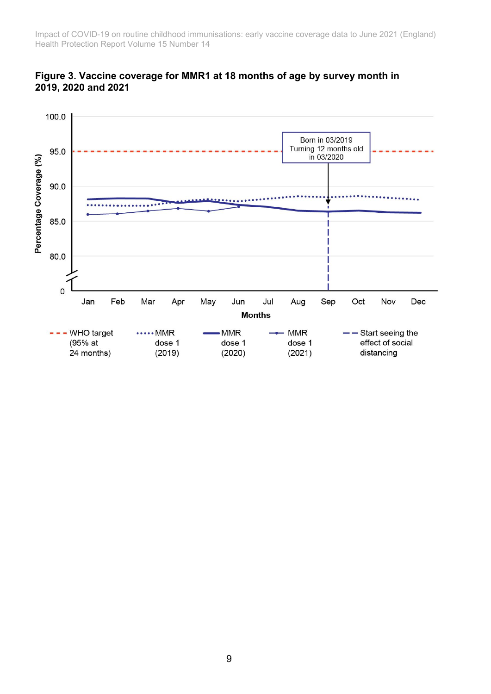

<span id="page-9-0"></span>**Figure 3. Vaccine coverage for MMR1 at 18 months of age by survey month in 2019, 2020 and 2021**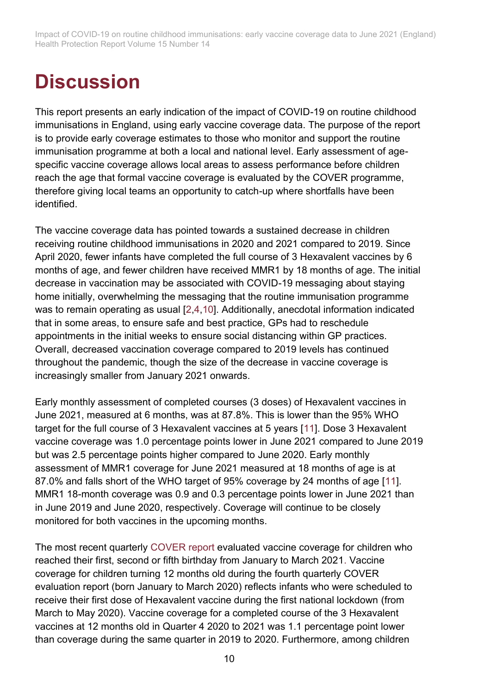## **Discussion**

This report presents an early indication of the impact of COVID-19 on routine childhood immunisations in England, using early vaccine coverage data. The purpose of the report is to provide early coverage estimates to those who monitor and support the routine immunisation programme at both a local and national level. Early assessment of agespecific vaccine coverage allows local areas to assess performance before children reach the age that formal vaccine coverage is evaluated by the COVER programme, therefore giving local teams an opportunity to catch-up where shortfalls have been identified.

The vaccine coverage data has pointed towards a sustained decrease in children receiving routine childhood immunisations in 2020 and 2021 compared to 2019. Since April 2020, fewer infants have completed the full course of 3 Hexavalent vaccines by 6 months of age, and fewer children have received MMR1 by 18 months of age. The initial decrease in vaccination may be associated with COVID-19 messaging about staying home initially, overwhelming the messaging that the routine immunisation programme was to remain operating as usual [\[2](#page-13-1)[,4](#page-13-3)[,10\]](#page-13-7). Additionally, anecdotal information indicated that in some areas, to ensure safe and best practice, GPs had to reschedule appointments in the initial weeks to ensure social distancing within GP practices. Overall, decreased vaccination coverage compared to 2019 levels has continued throughout the pandemic, though the size of the decrease in vaccine coverage is increasingly smaller from January 2021 onwards.

Early monthly assessment of completed courses (3 doses) of Hexavalent vaccines in June 2021, measured at 6 months, was at 87.8%. This is lower than the 95% WHO target for the full course of 3 Hexavalent vaccines at 5 years [\[11\]](#page-13-8). Dose 3 Hexavalent vaccine coverage was 1.0 percentage points lower in June 2021 compared to June 2019 but was 2.5 percentage points higher compared to June 2020. Early monthly assessment of MMR1 coverage for June 2021 measured at 18 months of age is at 87.0% and falls short of the WHO target of 95% coverage by 24 months of age [\[11\]](#page-13-8). MMR1 18-month coverage was 0.9 and 0.3 percentage points lower in June 2021 than in June 2019 and June 2020, respectively. Coverage will continue to be closely monitored for both vaccines in the upcoming months.

The most recent quarterly [COVER report](https://www.gov.uk/government/statistics/cover-of-vaccination-evaluated-rapidly-cover-programme-2020-to-2021-quarterly-data) evaluated vaccine coverage for children who reached their first, second or fifth birthday from January to March 2021. Vaccine coverage for children turning 12 months old during the fourth quarterly COVER evaluation report (born January to March 2020) reflects infants who were scheduled to receive their first dose of Hexavalent vaccine during the first national lockdown (from March to May 2020). Vaccine coverage for a completed course of the 3 Hexavalent vaccines at 12 months old in Quarter 4 2020 to 2021 was 1.1 percentage point lower than coverage during the same quarter in 2019 to 2020. Furthermore, among children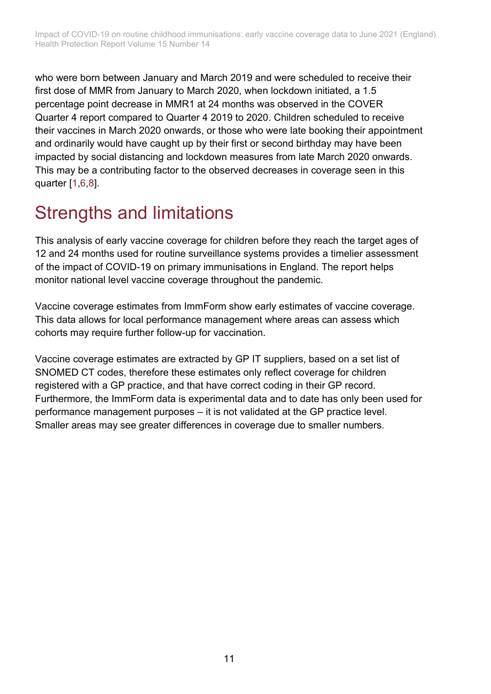who were born between January and March 2019 and were scheduled to receive their first dose of MMR from January to March 2020, when lockdown initiated, a 1.5 percentage point decrease in MMR1 at 24 months was observed in the COVER Quarter 4 report compared to Quarter 4 2019 to 2020. Children scheduled to receive their vaccines in March 2020 onwards, or those who were late booking their appointment and ordinarily would have caught up by their first or second birthday may have been impacted by social distancing and lockdown measures from late March 2020 onwards. This may be a contributing factor to the observed decreases in coverage seen in this quarter [\[1](#page-13-0)[,6](#page-13-5)[,8\]](#page-13-9).

### Strengths and limitations

This analysis of early vaccine coverage for children before they reach the target ages of 12 and 24 months used for routine surveillance systems provides a timelier assessment of the impact of COVID-19 on primary immunisations in England. The report helps monitor national level vaccine coverage throughout the pandemic.

Vaccine coverage estimates from ImmForm show early estimates of vaccine coverage. This data allows for local performance management where areas can assess which cohorts may require further follow-up for vaccination.

Vaccine coverage estimates are extracted by GP IT suppliers, based on a set list of SNOMED CT codes, therefore these estimates only reflect coverage for children registered with a GP practice, and that have correct coding in their GP record. Furthermore, the ImmForm data is experimental data and to date has only been used for performance management purposes – it is not validated at the GP practice level. Smaller areas may see greater differences in coverage due to smaller numbers.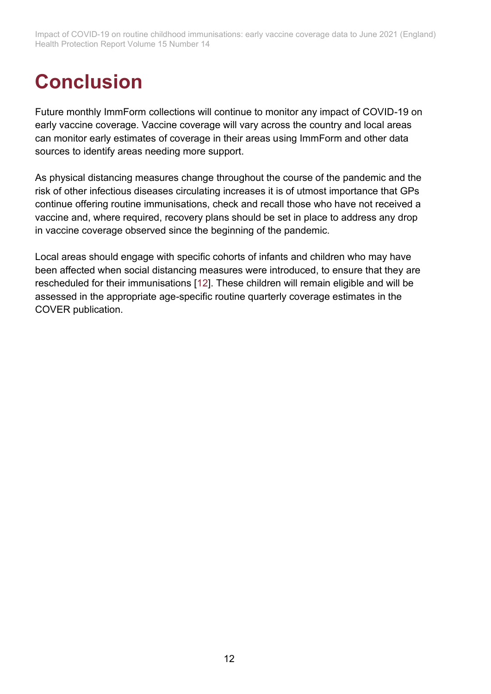# **Conclusion**

Future monthly ImmForm collections will continue to monitor any impact of COVID-19 on early vaccine coverage. Vaccine coverage will vary across the country and local areas can monitor early estimates of coverage in their areas using ImmForm and other data sources to identify areas needing more support.

As physical distancing measures change throughout the course of the pandemic and the risk of other infectious diseases circulating increases it is of utmost importance that GPs continue offering routine immunisations, check and recall those who have not received a vaccine and, where required, recovery plans should be set in place to address any drop in vaccine coverage observed since the beginning of the pandemic.

Local areas should engage with specific cohorts of infants and children who may have been affected when social distancing measures were introduced, to ensure that they are rescheduled for their immunisations [\[12\]](#page-13-10). These children will remain eligible and will be assessed in the appropriate age-specific routine quarterly coverage estimates in the COVER publication.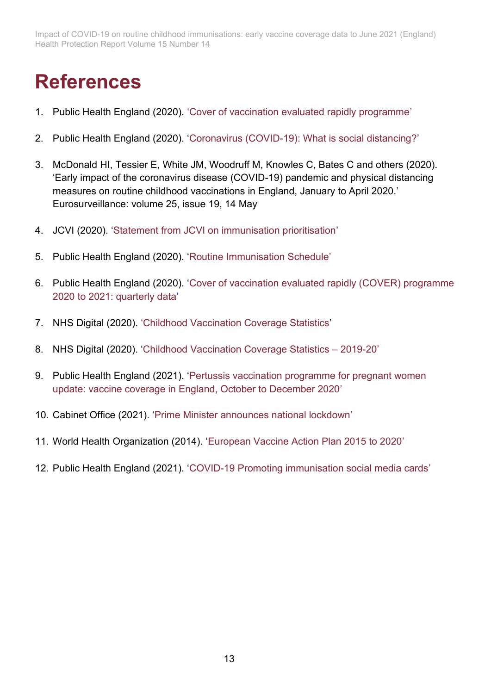### **References**

- <span id="page-13-0"></span>1. Public Health England (2020). ['Cover of vaccination evaluated rapidly programme'](http://www.gov.uk/government/collections/vaccine-uptake#cover-of-vaccination-evaluated-rapidly-programme)
- <span id="page-13-1"></span>2. Public Health England (2020). ['Coronavirus \(COVID-19\): What is social distancing?'](https://publichealthmatters.blog.gov.uk/2020/03/04/coronavirus-covid-19-what-is-social-distancing/)
- <span id="page-13-2"></span>3. McDonald HI, Tessier E, White JM, Woodruff M, Knowles C, Bates C and others (2020). 'Early impact of the coronavirus disease (COVID-19) pandemic and physical distancing measures on routine childhood vaccinations in England, January to April 2020.' Eurosurveillance: volume 25, issue 19, 14 May
- <span id="page-13-3"></span>4. JCVI (2020). ['Statement from JCVI on immunisation prioritisation'](http://www.gov.uk/government/publications/jcvi-statement-on-immunisation-prioritisation/statement-from-jcvi-on-immunisation-prioritisation)
- <span id="page-13-4"></span>5. Public Health England (2020). ['Routine Immunisation Schedule'](https://www.gov.uk/government/publications/routine-childhood-immunisation-schedule)
- <span id="page-13-5"></span>6. Public Health England (2020). ['Cover of vaccination evaluated rapidly \(COVER\) programme](https://www.gov.uk/government/statistics/cover-of-vaccination-evaluated-rapidly-cover-programme-2020-to-2021-quarterly-data)  [2020 to 2021: quarterly data'](https://www.gov.uk/government/statistics/cover-of-vaccination-evaluated-rapidly-cover-programme-2020-to-2021-quarterly-data)
- <span id="page-13-6"></span>7. NHS Digital (2020). ['Childhood Vaccination Coverage Statistics'](https://digital.nhs.uk/data-and-information/publications/statistical/nhs-immunisation-statistics)
- <span id="page-13-9"></span>8. NHS Digital (2020). ['Childhood Vaccination Coverage Statistics –](https://digital.nhs.uk/data-and-information/publications/statistical/nhs-immunisation-statistics/england---2019-20) 2019-20'
- 9. Public Health England (2021). ['Pertussis vaccination programme for pregnant women](https://assets.publishing.service.gov.uk/government/uploads/system/uploads/attachment_data/file/963507/hpr0421_prtsss-vc.pdf)  [update: vaccine coverage in England, October to December 2020'](https://assets.publishing.service.gov.uk/government/uploads/system/uploads/attachment_data/file/963507/hpr0421_prtsss-vc.pdf)
- <span id="page-13-7"></span>10. Cabinet Office (2021). ['Prime Minister announces national lockdown'](https://www.gov.uk/government/news/prime-minister-announces-national-lockdown)
- <span id="page-13-8"></span>11. World Health Organization (2014). ['European Vaccine Action Plan 2015 to 2020'](https://www.euro.who.int/en/health-topics/disease-prevention/vaccines-and-immunization/publications/2014/european-vaccine-action-plan-20152020-2014)
- <span id="page-13-10"></span>12. Public Health England (2021). ['COVID-19 Promoting immunisation social media cards'](https://www.healthpublications.gov.uk/ViewArticle.html?sp=Scovid19promotingimmunisationsocialmediacards)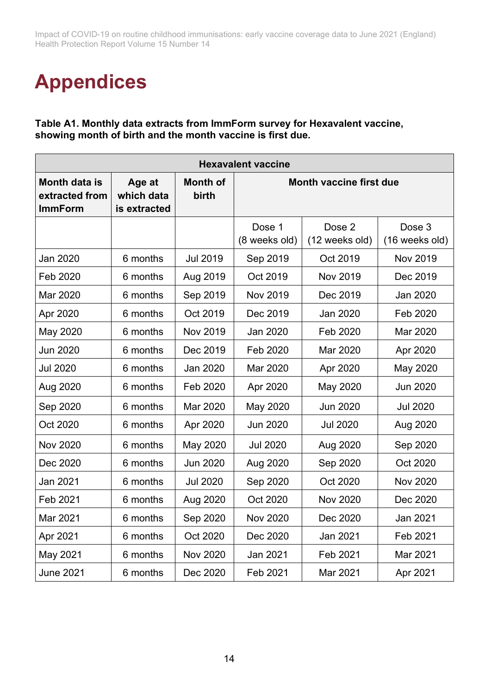## **Appendices**

<span id="page-14-0"></span>**Table A1. Monthly data extracts from ImmForm survey for Hexavalent vaccine, showing month of birth and the month vaccine is first due.**

| <b>Hexavalent vaccine</b>                         |                                      |                          |                                |                          |                          |  |  |  |
|---------------------------------------------------|--------------------------------------|--------------------------|--------------------------------|--------------------------|--------------------------|--|--|--|
| Month data is<br>extracted from<br><b>ImmForm</b> | Age at<br>which data<br>is extracted | <b>Month of</b><br>birth | <b>Month vaccine first due</b> |                          |                          |  |  |  |
|                                                   |                                      |                          | Dose 1<br>(8 weeks old)        | Dose 2<br>(12 weeks old) | Dose 3<br>(16 weeks old) |  |  |  |
| Jan 2020                                          | 6 months                             | <b>Jul 2019</b>          | Sep 2019                       | Oct 2019                 | <b>Nov 2019</b>          |  |  |  |
| Feb 2020                                          | 6 months                             | Aug 2019                 | Oct 2019                       | <b>Nov 2019</b>          | Dec 2019                 |  |  |  |
| Mar 2020                                          | 6 months                             | Sep 2019                 | <b>Nov 2019</b>                | Dec 2019                 | Jan 2020                 |  |  |  |
| Apr 2020                                          | 6 months                             | Oct 2019                 | Dec 2019                       | Jan 2020                 | Feb 2020                 |  |  |  |
| May 2020                                          | 6 months                             | <b>Nov 2019</b>          | <b>Jan 2020</b>                | Feb 2020                 | Mar 2020                 |  |  |  |
| <b>Jun 2020</b>                                   | 6 months                             | Dec 2019                 | Feb 2020                       | Mar 2020                 | Apr 2020                 |  |  |  |
| <b>Jul 2020</b>                                   | 6 months                             | <b>Jan 2020</b>          | Mar 2020                       | Apr 2020                 | May 2020                 |  |  |  |
| Aug 2020                                          | 6 months                             | Feb 2020                 | Apr 2020                       | May 2020                 | <b>Jun 2020</b>          |  |  |  |
| Sep 2020                                          | 6 months                             | Mar 2020                 | May 2020                       | <b>Jun 2020</b>          | <b>Jul 2020</b>          |  |  |  |
| Oct 2020                                          | 6 months                             | Apr 2020                 | <b>Jun 2020</b>                | <b>Jul 2020</b>          | Aug 2020                 |  |  |  |
| <b>Nov 2020</b>                                   | 6 months                             | May 2020                 | <b>Jul 2020</b>                | Aug 2020                 | Sep 2020                 |  |  |  |
| Dec 2020                                          | 6 months                             | <b>Jun 2020</b>          | Aug 2020                       | Sep 2020                 | Oct 2020                 |  |  |  |
| <b>Jan 2021</b>                                   | 6 months                             | <b>Jul 2020</b>          | Sep 2020                       | Oct 2020                 | <b>Nov 2020</b>          |  |  |  |
| Feb 2021                                          | 6 months                             | Aug 2020                 | Oct 2020                       | <b>Nov 2020</b>          | Dec 2020                 |  |  |  |
| Mar 2021                                          | 6 months                             | Sep 2020                 | <b>Nov 2020</b>                | Dec 2020                 | <b>Jan 2021</b>          |  |  |  |
| Apr 2021                                          | 6 months                             | Oct 2020                 | Dec 2020                       | Jan 2021                 | Feb 2021                 |  |  |  |
| May 2021                                          | 6 months                             | <b>Nov 2020</b>          | <b>Jan 2021</b>                | Feb 2021                 | Mar 2021                 |  |  |  |
| <b>June 2021</b>                                  | 6 months                             | Dec 2020                 | Feb 2021                       | Mar 2021                 | Apr 2021                 |  |  |  |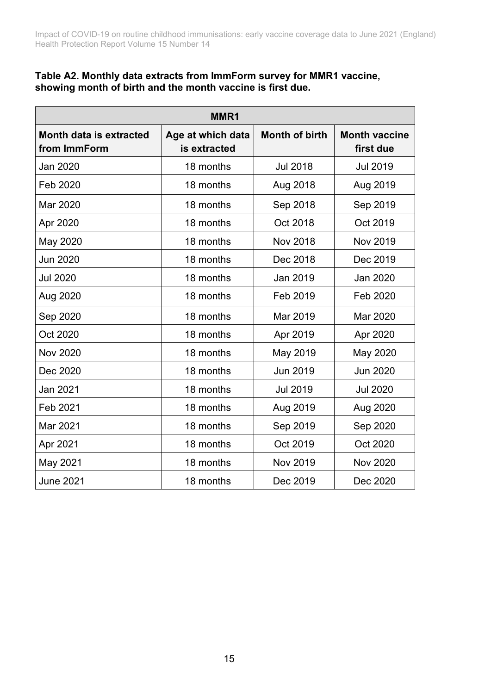#### <span id="page-15-0"></span>**Table A2. Monthly data extracts from ImmForm survey for MMR1 vaccine, showing month of birth and the month vaccine is first due.**

| MMR1                                           |                                   |                       |                                   |  |  |  |  |  |
|------------------------------------------------|-----------------------------------|-----------------------|-----------------------------------|--|--|--|--|--|
| <b>Month data is extracted</b><br>from ImmForm | Age at which data<br>is extracted | <b>Month of birth</b> | <b>Month vaccine</b><br>first due |  |  |  |  |  |
| Jan 2020                                       | 18 months                         | <b>Jul 2018</b>       | <b>Jul 2019</b>                   |  |  |  |  |  |
| Feb 2020                                       | 18 months                         | Aug 2018              | Aug 2019                          |  |  |  |  |  |
| Mar 2020                                       | 18 months                         | Sep 2018              | Sep 2019                          |  |  |  |  |  |
| Apr 2020                                       | 18 months                         | Oct 2018              | Oct 2019                          |  |  |  |  |  |
| May 2020                                       | 18 months                         | <b>Nov 2018</b>       | <b>Nov 2019</b>                   |  |  |  |  |  |
| <b>Jun 2020</b>                                | 18 months                         | Dec 2018              | Dec 2019                          |  |  |  |  |  |
| <b>Jul 2020</b>                                | 18 months                         | Jan 2019              | <b>Jan 2020</b>                   |  |  |  |  |  |
| Aug 2020                                       | 18 months                         | Feb 2019              | Feb 2020                          |  |  |  |  |  |
| Sep 2020                                       | 18 months                         | Mar 2019              | Mar 2020                          |  |  |  |  |  |
| Oct 2020                                       | 18 months                         | Apr 2019              | Apr 2020                          |  |  |  |  |  |
| <b>Nov 2020</b>                                | 18 months                         | May 2019              | May 2020                          |  |  |  |  |  |
| Dec 2020                                       | 18 months                         | <b>Jun 2019</b>       | <b>Jun 2020</b>                   |  |  |  |  |  |
| Jan 2021                                       | 18 months                         | <b>Jul 2019</b>       | <b>Jul 2020</b>                   |  |  |  |  |  |
| Feb 2021                                       | 18 months                         | Aug 2019              | Aug 2020                          |  |  |  |  |  |
| Mar 2021                                       | 18 months                         | Sep 2019              | Sep 2020                          |  |  |  |  |  |
| Apr 2021                                       | 18 months                         | Oct 2019              | Oct 2020                          |  |  |  |  |  |
| May 2021                                       | 18 months                         | <b>Nov 2019</b>       | <b>Nov 2020</b>                   |  |  |  |  |  |
| <b>June 2021</b>                               | 18 months                         | Dec 2019              | Dec 2020                          |  |  |  |  |  |